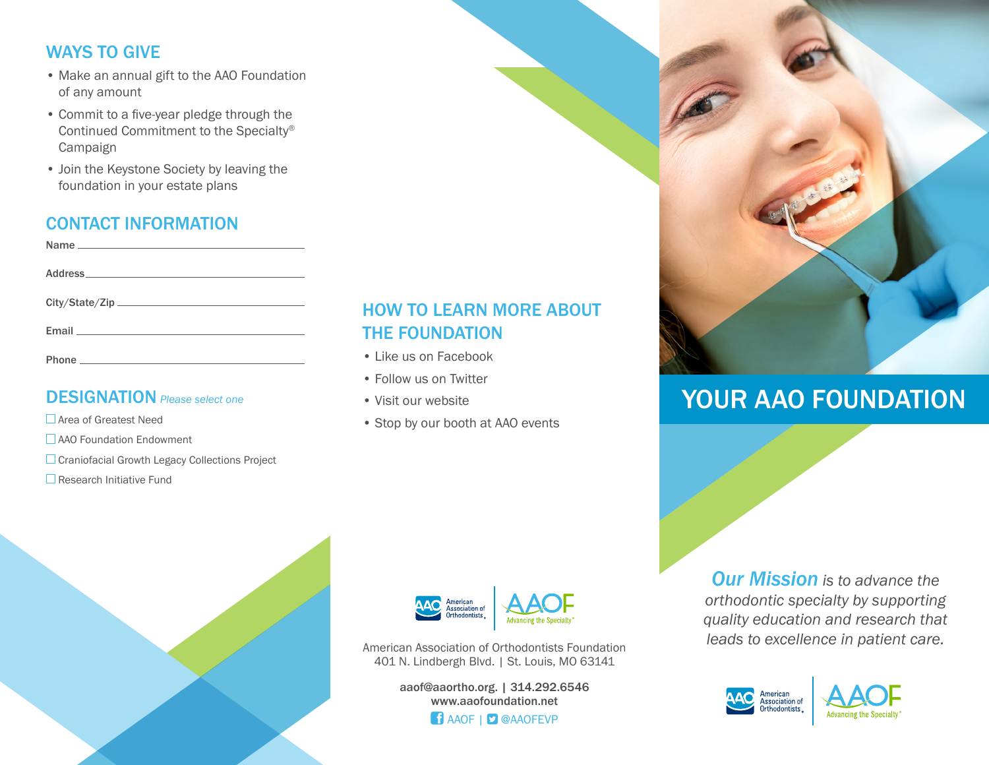# WAYS TO GIVE

- Make an annual gift to the AAO Foundation of any amount
- Commit to a five-year pledge through the Continued Commitment to the Specialty® Campaign
- Join the Keystone Society by leaving the foundation in your estate plans

# CONTACT INFORMATION

## DESIGNATION *Please select one*

□ Area of Greatest Need

**AAO** Foundation Endowment

- Craniofacial Growth Legacy Collections Project
- $\square$  Research Initiative Fund

# HOW TO LEARN MORE ABOUT THE FOUNDATION

- Like us on Facebook
- Follow us on Twitter
- Visit our website
- Stop by our booth at AAO events



American Association of Orthodontists Foundation 401 N. Lindbergh Blvd. | St. Louis, MO 63141

> aaof@aaortho.org. | 314.292.6546 www.aaofoundation.net **f** AAOF | **D** @AAOFEVP

*Our Mission is to advance the orthodontic specialty by supporting quality education and research that leads to excellence in patient care.*

YOUR AAO FOUNDATION